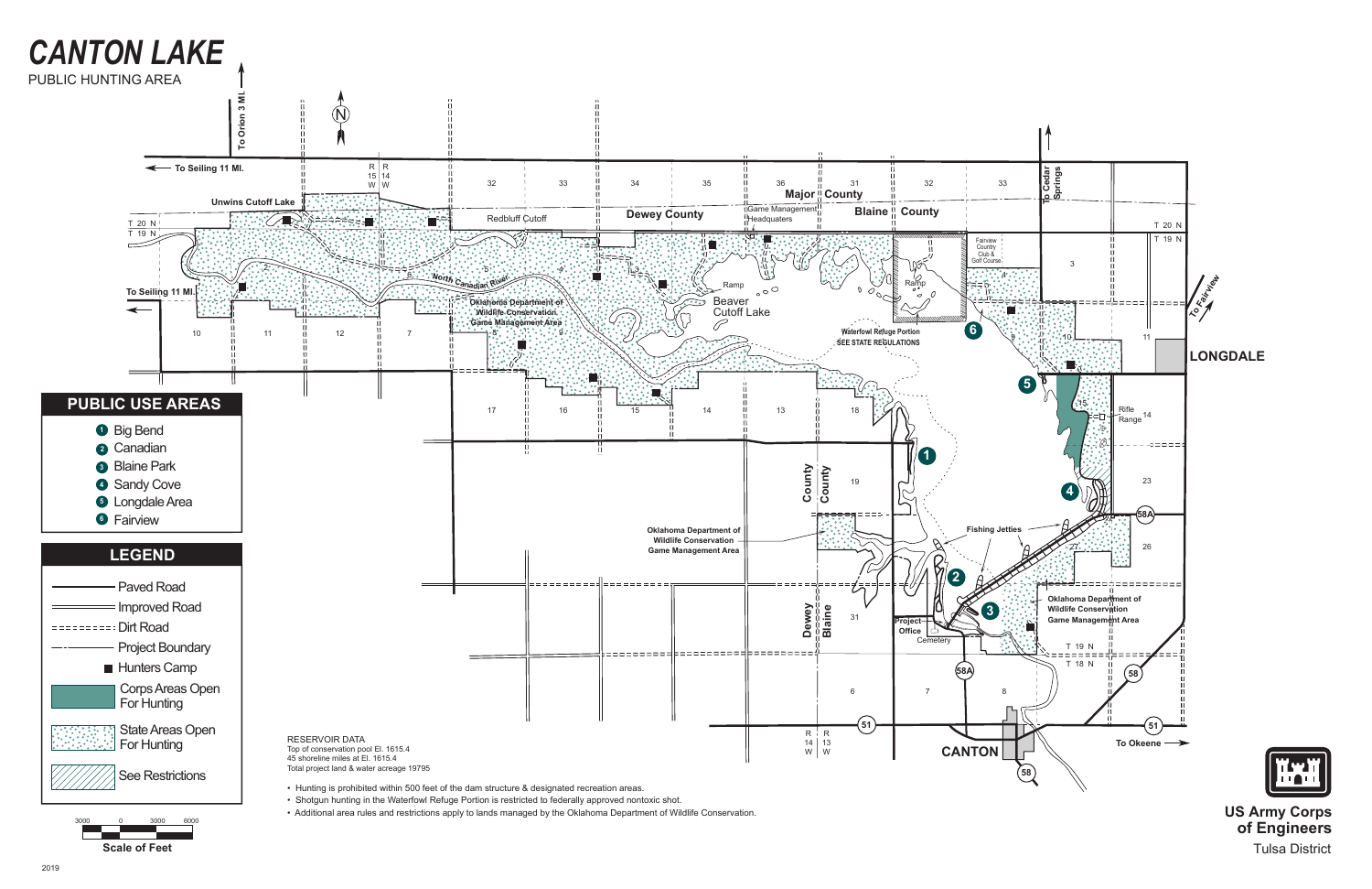**of Engineers** Tulsa District



**Scale of Feet**